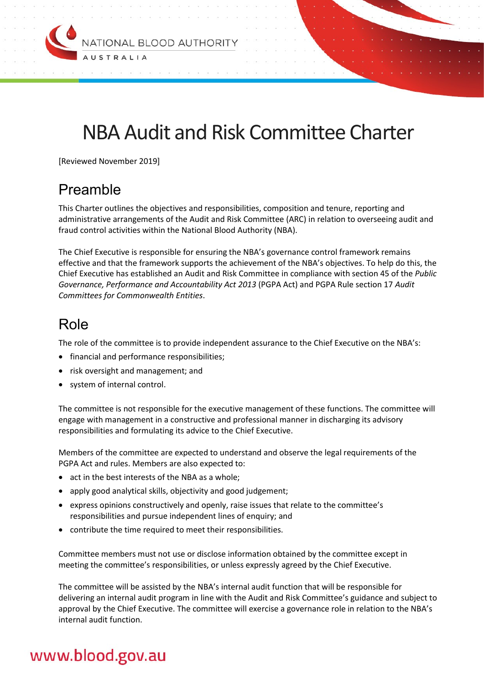

# NBA Audit and Risk Committee Charter

[Reviewed November 2019]

# Preamble

This Charter outlines the objectives and responsibilities, composition and tenure, reporting and administrative arrangements of the Audit and Risk Committee (ARC) in relation to overseeing audit and fraud control activities within the National Blood Authority (NBA).

The Chief Executive is responsible for ensuring the NBA's governance control framework remains effective and that the framework supports the achievement of the NBA's objectives. To help do this, the Chief Executive has established an Audit and Risk Committee in compliance with section 45 of the *Public Governance, Performance and Accountability Act 2013* (PGPA Act) and PGPA Rule section 17 *Audit Committees for Commonwealth Entities*.

# Role

The role of the committee is to provide independent assurance to the Chief Executive on the NBA's:

- financial and performance responsibilities;
- risk oversight and management; and
- system of internal control.

The committee is not responsible for the executive management of these functions. The committee will engage with management in a constructive and professional manner in discharging its advisory responsibilities and formulating its advice to the Chief Executive.

Members of the committee are expected to understand and observe the legal requirements of the PGPA Act and rules. Members are also expected to:

- act in the best interests of the NBA as a whole:
- apply good analytical skills, objectivity and good judgement;
- express opinions constructively and openly, raise issues that relate to the committee's responsibilities and pursue independent lines of enquiry; and
- contribute the time required to meet their responsibilities.

Committee members must not use or disclose information obtained by the committee except in meeting the committee's responsibilities, or unless expressly agreed by the Chief Executive.

The committee will be assisted by the NBA's internal audit function that will be responsible for delivering an internal audit program in line with the Audit and Risk Committee's guidance and subject to approval by the Chief Executive. The committee will exercise a governance role in relation to the NBA's internal audit function.

# www.blood.gov.au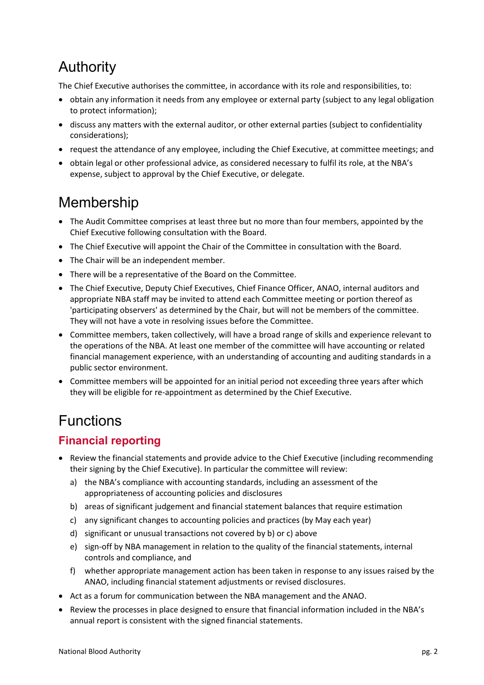# Authority

The Chief Executive authorises the committee, in accordance with its role and responsibilities, to:

- obtain any information it needs from any employee or external party (subject to any legal obligation to protect information);
- discuss any matters with the external auditor, or other external parties (subject to confidentiality considerations);
- request the attendance of any employee, including the Chief Executive, at committee meetings; and
- obtain legal or other professional advice, as considered necessary to fulfil its role, at the NBA's expense, subject to approval by the Chief Executive, or delegate.

# Membership

- The Audit Committee comprises at least three but no more than four members, appointed by the Chief Executive following consultation with the Board.
- The Chief Executive will appoint the Chair of the Committee in consultation with the Board.
- The Chair will be an independent member.
- There will be a representative of the Board on the Committee.
- The Chief Executive, Deputy Chief Executives, Chief Finance Officer, ANAO, internal auditors and appropriate NBA staff may be invited to attend each Committee meeting or portion thereof as 'participating observers' as determined by the Chair, but will not be members of the committee. They will not have a vote in resolving issues before the Committee.
- Committee members, taken collectively, will have a broad range of skills and experience relevant to the operations of the NBA. At least one member of the committee will have accounting or related financial management experience, with an understanding of accounting and auditing standards in a public sector environment.
- Committee members will be appointed for an initial period not exceeding three years after which they will be eligible for re-appointment as determined by the Chief Executive.

# Functions

# **Financial reporting**

- Review the financial statements and provide advice to the Chief Executive (including recommending their signing by the Chief Executive). In particular the committee will review:
	- a) the NBA's compliance with accounting standards, including an assessment of the appropriateness of accounting policies and disclosures
	- b) areas of significant judgement and financial statement balances that require estimation
	- c) any significant changes to accounting policies and practices (by May each year)
	- d) significant or unusual transactions not covered by b) or c) above
	- e) sign-off by NBA management in relation to the quality of the financial statements, internal controls and compliance, and
	- f) whether appropriate management action has been taken in response to any issues raised by the ANAO, including financial statement adjustments or revised disclosures.
- Act as a forum for communication between the NBA management and the ANAO.
- Review the processes in place designed to ensure that financial information included in the NBA's annual report is consistent with the signed financial statements.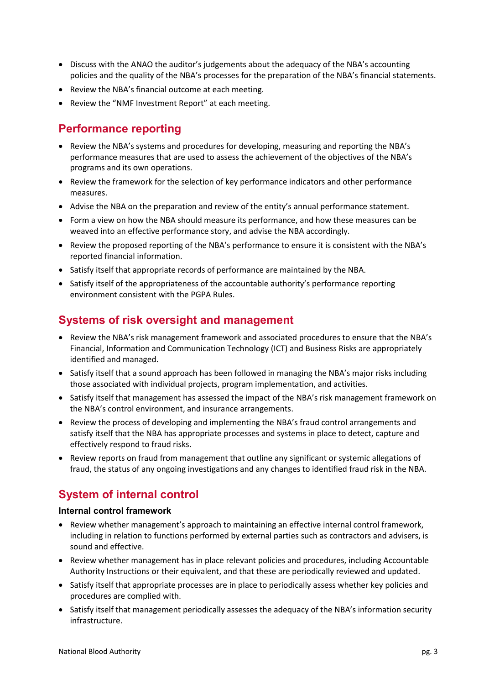- Discuss with the ANAO the auditor's judgements about the adequacy of the NBA's accounting policies and the quality of the NBA's processes for the preparation of the NBA's financial statements.
- Review the NBA's financial outcome at each meeting.
- Review the "NMF Investment Report" at each meeting.

### **Performance reporting**

- Review the NBA's systems and procedures for developing, measuring and reporting the NBA's performance measures that are used to assess the achievement of the objectives of the NBA's programs and its own operations.
- Review the framework for the selection of key performance indicators and other performance measures.
- Advise the NBA on the preparation and review of the entity's annual performance statement.
- Form a view on how the NBA should measure its performance, and how these measures can be weaved into an effective performance story, and advise the NBA accordingly.
- Review the proposed reporting of the NBA's performance to ensure it is consistent with the NBA's reported financial information.
- Satisfy itself that appropriate records of performance are maintained by the NBA.
- Satisfy itself of the appropriateness of the accountable authority's performance reporting environment consistent with the PGPA Rules.

# **Systems of risk oversight and management**

- Review the NBA's risk management framework and associated procedures to ensure that the NBA's Financial, Information and Communication Technology (ICT) and Business Risks are appropriately identified and managed.
- Satisfy itself that a sound approach has been followed in managing the NBA's major risks including those associated with individual projects, program implementation, and activities.
- Satisfy itself that management has assessed the impact of the NBA's risk management framework on the NBA's control environment, and insurance arrangements.
- Review the process of developing and implementing the NBA's fraud control arrangements and satisfy itself that the NBA has appropriate processes and systems in place to detect, capture and effectively respond to fraud risks.
- Review reports on fraud from management that outline any significant or systemic allegations of fraud, the status of any ongoing investigations and any changes to identified fraud risk in the NBA.

# **System of internal control**

#### **Internal control framework**

- Review whether management's approach to maintaining an effective internal control framework, including in relation to functions performed by external parties such as contractors and advisers, is sound and effective.
- Review whether management has in place relevant policies and procedures, including Accountable Authority Instructions or their equivalent, and that these are periodically reviewed and updated.
- Satisfy itself that appropriate processes are in place to periodically assess whether key policies and procedures are complied with.
- Satisfy itself that management periodically assesses the adequacy of the NBA's information security infrastructure.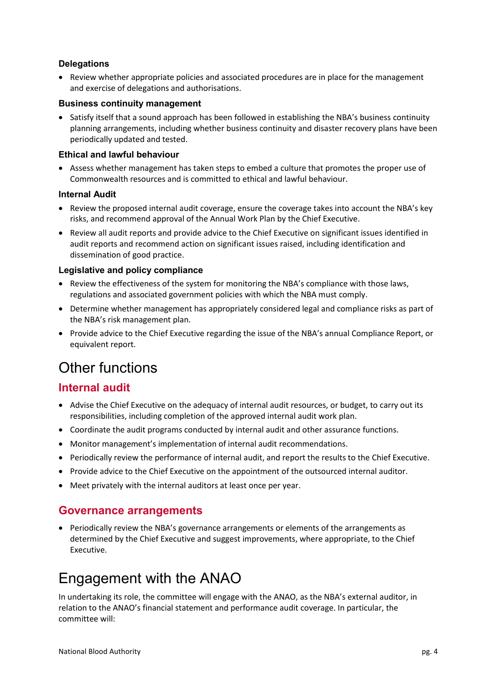#### **Delegations**

• Review whether appropriate policies and associated procedures are in place for the management and exercise of delegations and authorisations.

#### **Business continuity management**

• Satisfy itself that a sound approach has been followed in establishing the NBA's business continuity planning arrangements, including whether business continuity and disaster recovery plans have been periodically updated and tested.

#### **Ethical and lawful behaviour**

 Assess whether management has taken steps to embed a culture that promotes the proper use of Commonwealth resources and is committed to ethical and lawful behaviour.

#### **Internal Audit**

- Review the proposed internal audit coverage, ensure the coverage takes into account the NBA's key risks, and recommend approval of the Annual Work Plan by the Chief Executive.
- Review all audit reports and provide advice to the Chief Executive on significant issues identified in audit reports and recommend action on significant issues raised, including identification and dissemination of good practice.

#### **Legislative and policy compliance**

- Review the effectiveness of the system for monitoring the NBA's compliance with those laws, regulations and associated government policies with which the NBA must comply.
- Determine whether management has appropriately considered legal and compliance risks as part of the NBA's risk management plan.
- Provide advice to the Chief Executive regarding the issue of the NBA's annual Compliance Report, or equivalent report.

# Other functions

# **Internal audit**

- Advise the Chief Executive on the adequacy of internal audit resources, or budget, to carry out its responsibilities, including completion of the approved internal audit work plan.
- Coordinate the audit programs conducted by internal audit and other assurance functions.
- Monitor management's implementation of internal audit recommendations.
- Periodically review the performance of internal audit, and report the results to the Chief Executive.
- Provide advice to the Chief Executive on the appointment of the outsourced internal auditor.
- Meet privately with the internal auditors at least once per year.

### **Governance arrangements**

• Periodically review the NBA's governance arrangements or elements of the arrangements as determined by the Chief Executive and suggest improvements, where appropriate, to the Chief Executive.

# Engagement with the ANAO

In undertaking its role, the committee will engage with the ANAO, as the NBA's external auditor, in relation to the ANAO's financial statement and performance audit coverage. In particular, the committee will: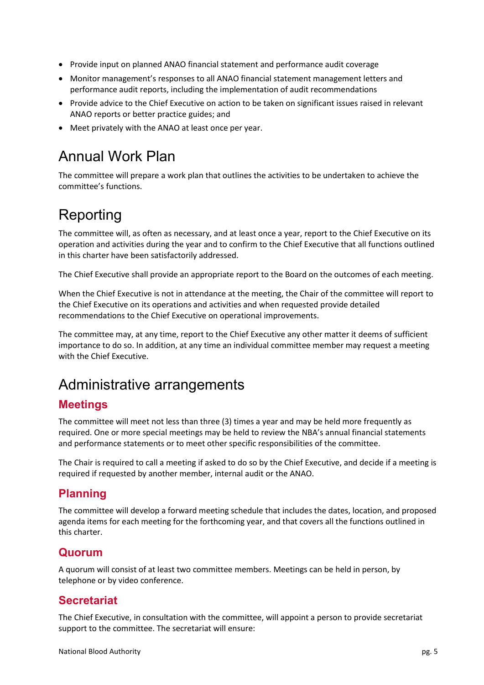- Provide input on planned ANAO financial statement and performance audit coverage
- Monitor management's responses to all ANAO financial statement management letters and performance audit reports, including the implementation of audit recommendations
- Provide advice to the Chief Executive on action to be taken on significant issues raised in relevant ANAO reports or better practice guides; and
- Meet privately with the ANAO at least once per year.

# Annual Work Plan

The committee will prepare a work plan that outlines the activities to be undertaken to achieve the committee's functions.

# Reporting

The committee will, as often as necessary, and at least once a year, report to the Chief Executive on its operation and activities during the year and to confirm to the Chief Executive that all functions outlined in this charter have been satisfactorily addressed.

The Chief Executive shall provide an appropriate report to the Board on the outcomes of each meeting.

When the Chief Executive is not in attendance at the meeting, the Chair of the committee will report to the Chief Executive on its operations and activities and when requested provide detailed recommendations to the Chief Executive on operational improvements.

The committee may, at any time, report to the Chief Executive any other matter it deems of sufficient importance to do so. In addition, at any time an individual committee member may request a meeting with the Chief Executive.

# Administrative arrangements

### **Meetings**

The committee will meet not less than three (3) times a year and may be held more frequently as required. One or more special meetings may be held to review the NBA's annual financial statements and performance statements or to meet other specific responsibilities of the committee.

The Chair is required to call a meeting if asked to do so by the Chief Executive, and decide if a meeting is required if requested by another member, internal audit or the ANAO.

# **Planning**

The committee will develop a forward meeting schedule that includes the dates, location, and proposed agenda items for each meeting for the forthcoming year, and that covers all the functions outlined in this charter.

### **Quorum**

A quorum will consist of at least two committee members. Meetings can be held in person, by telephone or by video conference.

# **Secretariat**

The Chief Executive, in consultation with the committee, will appoint a person to provide secretariat support to the committee. The secretariat will ensure: